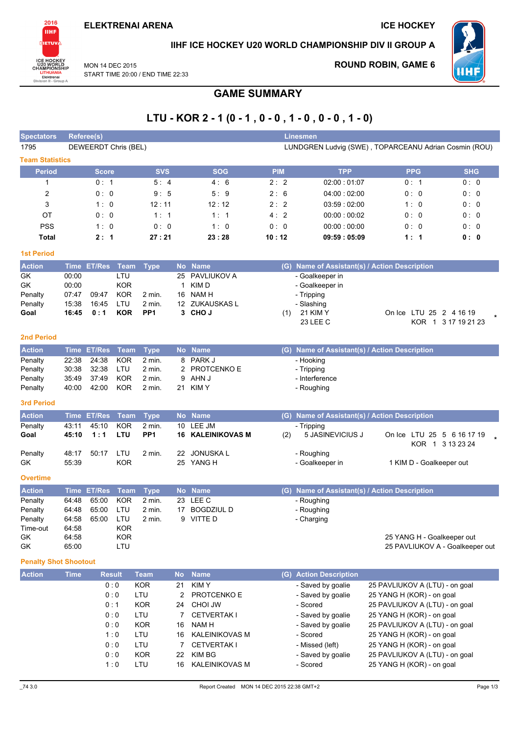**ELEKTRENAI ARENA** 

MON 14 DFC 2015

**ICE HOCKEY** 



IIHF ICE HOCKEY U20 WORLD CHAMPIONSHIP DIV II GROUP A



**ROUND ROBIN, GAME 6** 

START TIME 20:00 / END TIME 22:33

# **GAME SUMMARY**

# LTU - KOR 2 - 1 (0 - 1, 0 - 0, 1 - 0, 0 - 0, 1 - 0)

| <b>Spectators</b>            | Referee(s)     |                      |                    |                    |           |                                        |       |            | <b>Linesmen</b>                                       |                                                        |            |                                                |  |
|------------------------------|----------------|----------------------|--------------------|--------------------|-----------|----------------------------------------|-------|------------|-------------------------------------------------------|--------------------------------------------------------|------------|------------------------------------------------|--|
| 1795                         |                | DEWEERDT Chris (BEL) |                    |                    |           |                                        |       |            | LUNDGREN Ludvig (SWE), TOPARCEANU Adrian Cosmin (ROU) |                                                        |            |                                                |  |
| <b>Team Statistics</b>       |                |                      |                    |                    |           |                                        |       |            |                                                       |                                                        |            |                                                |  |
| <b>Period</b>                |                | <b>Score</b>         |                    | <b>SVS</b>         |           | <b>SOG</b>                             |       | <b>PIM</b> | <b>TPP</b>                                            |                                                        | <b>PPG</b> | <b>SHG</b>                                     |  |
| 1                            |                | 0: 1                 |                    | 5:4                |           | 4:6                                    |       | 2:2        | 02:00:01:07                                           |                                                        | 0:1        | 0:0                                            |  |
| $\overline{2}$               |                | 0: 0                 |                    | 9:5                |           | 5:9                                    |       | 2:6        | 04:00:02:00                                           |                                                        | 0:0        | 0:0                                            |  |
| 3                            |                | 1:0                  |                    | 12:11              |           | 12:12                                  |       | 2:2        | 03:59:02:00                                           |                                                        | 1:0        | 0:0                                            |  |
| ОT                           |                | 0:0                  |                    | 1:1                |           | 1:1                                    |       | 4:2        | 00:00:00:02                                           |                                                        | 0:0        | 0:0                                            |  |
| <b>PSS</b>                   |                | 1:0                  |                    | 0:0                |           | 1:0                                    |       | 0:0        | 00:00:00:00                                           |                                                        | 0:0        | 0:0                                            |  |
| <b>Total</b>                 |                | 2:1                  |                    | 27:21              |           | 23:28                                  | 10:12 |            | 09:59:05:09                                           |                                                        | 1:1        | 0:0                                            |  |
| <b>1st Period</b>            |                |                      |                    |                    |           |                                        |       |            |                                                       |                                                        |            |                                                |  |
| <b>Action</b>                |                | Time ET/Res          | Team               | <b>Type</b>        |           | No Name                                |       |            | (G) Name of Assistant(s) / Action Description         |                                                        |            |                                                |  |
| GK                           | 00:00          |                      | LTU                |                    | 25        | PAVLIUKOV A                            |       |            | - Goalkeeper in                                       |                                                        |            |                                                |  |
| GK                           | 00:00          |                      | <b>KOR</b>         |                    | 1         | KIM <sub>D</sub>                       |       |            | - Goalkeeper in                                       |                                                        |            |                                                |  |
| Penalty                      | 07:47          | 09:47                | <b>KOR</b>         | 2 min.             | 16        | NAM H                                  |       |            | - Tripping                                            |                                                        |            |                                                |  |
| Penalty                      | 15:38          | 16:45                | LTU                | 2 min.             |           | 12 ZUKAUSKAS L                         |       |            | - Slashing                                            |                                                        |            |                                                |  |
| Goal                         | 16:45          | 0:1                  | <b>KOR</b>         | PP <sub>1</sub>    |           | 3 CHOJ                                 |       | (1)        | 21 KIM Y<br>23 LEE C                                  |                                                        |            | On Ice LTU 25 2 4 16 19<br>KOR 1 3 17 19 21 23 |  |
|                              |                |                      |                    |                    |           |                                        |       |            |                                                       |                                                        |            |                                                |  |
| <b>2nd Period</b>            |                |                      |                    |                    |           |                                        |       |            |                                                       |                                                        |            |                                                |  |
| <b>Action</b>                |                | Time ET/Res          | <b>Team</b>        | <b>Type</b>        |           | No Name                                |       |            | (G) Name of Assistant(s) / Action Description         |                                                        |            |                                                |  |
| Penalty                      | 22:38          | 24:38                | <b>KOR</b>         | 2 min.             |           | 8 PARK J                               |       |            | - Hooking                                             |                                                        |            |                                                |  |
| Penalty                      | 30:38          | 32:38                | LTU                | 2 min.             | 2         | <b>PROTCENKO E</b>                     |       |            | - Tripping                                            |                                                        |            |                                                |  |
| Penalty                      | 35:49          | 37:49                | <b>KOR</b>         | 2 min.<br>$2$ min. | 9         | AHN J<br>21 KIMY                       |       |            | - Interference                                        |                                                        |            |                                                |  |
| Penalty                      | 40:00          | 42:00                | <b>KOR</b>         |                    |           |                                        |       |            | - Roughing                                            |                                                        |            |                                                |  |
| 3rd Period                   |                |                      |                    |                    |           |                                        |       |            |                                                       |                                                        |            |                                                |  |
| <b>Action</b>                |                | Time ET/Res          | <b>Team</b>        | <b>Type</b>        |           | No Name                                |       |            | (G) Name of Assistant(s) / Action Description         |                                                        |            |                                                |  |
| Penalty                      | 43:11          | 45:10                | <b>KOR</b>         | 2 min.             | 10        | LEE JM                                 |       |            | - Tripping                                            |                                                        |            |                                                |  |
| Goal                         | 45:10          | 1:1                  | LTU                | PP <sub>1</sub>    | 16        | <b>KALEINIKOVAS M</b>                  |       | (2)        | 5 JASINEVICIUS J                                      |                                                        |            | On Ice LTU 25 5 6 16 17 19<br>KOR 1 3 13 23 24 |  |
| Penalty                      | 48:17          | 50:17                | LTU                | 2 min.             |           | 22 JONUSKA L                           |       |            | - Roughing                                            |                                                        |            |                                                |  |
| GK                           | 55:39          |                      | <b>KOR</b>         |                    |           | 25 YANG H                              |       |            | - Goalkeeper in                                       |                                                        |            | 1 KIM D - Goalkeeper out                       |  |
|                              |                |                      |                    |                    |           |                                        |       |            |                                                       |                                                        |            |                                                |  |
| <b>Overtime</b>              |                |                      |                    |                    |           |                                        |       |            |                                                       |                                                        |            |                                                |  |
| <b>Action</b>                |                | Time ET/Res          | Team               | <b>Type</b>        |           | No Name                                |       |            | (G) Name of Assistant(s) / Action Description         |                                                        |            |                                                |  |
| Penalty<br>Penalty           | 64:48<br>64:48 | 65:00<br>65:00       | <b>KOR</b><br>LTU  | 2 min.<br>2 min.   |           | 23 LEE C<br>17 BOGDZIUL D              |       |            | - Roughing                                            |                                                        |            |                                                |  |
| Penalty                      | 64:58          | 65:00                | LTU                | 2 min.             |           | 9 VITTE D                              |       |            | - Roughing<br>- Charging                              |                                                        |            |                                                |  |
| Time-out                     | 64:58          |                      | <b>KOR</b>         |                    |           |                                        |       |            |                                                       |                                                        |            |                                                |  |
| GK                           | 64:58          |                      | <b>KOR</b>         |                    |           |                                        |       |            |                                                       |                                                        |            | 25 YANG H - Goalkeeper out                     |  |
| GK                           | 65:00          |                      | LTU                |                    |           |                                        |       |            |                                                       |                                                        |            | 25 PAVLIUKOV A - Goalkeeper out                |  |
| <b>Penalty Shot Shootout</b> |                |                      |                    |                    |           |                                        |       |            |                                                       |                                                        |            |                                                |  |
| <b>Action</b>                | <b>Time</b>    |                      | <b>Result</b>      | <b>Team</b>        | <b>No</b> | <b>Name</b>                            |       |            | (G) Action Description                                |                                                        |            |                                                |  |
|                              |                |                      | 0:0                | <b>KOR</b>         | 21        | <b>KIMY</b>                            |       |            | - Saved by goalie                                     | 25 PAVLIUKOV A (LTU) - on goal                         |            |                                                |  |
|                              |                |                      | 0:0                | LTU                | 2         | PROTCENKO E                            |       |            | - Saved by goalie                                     | 25 YANG H (KOR) - on goal                              |            |                                                |  |
|                              |                |                      | 0:1                | <b>KOR</b>         | 24        | <b>CHOI JW</b>                         |       |            | - Scored                                              | 25 PAVLIUKOV A (LTU) - on goal                         |            |                                                |  |
|                              |                |                      | 0:0                | LTU                | 7         | <b>CETVERTAK I</b>                     |       |            | - Saved by goalie                                     | 25 YANG H (KOR) - on goal                              |            |                                                |  |
|                              |                |                      | 0:0                | <b>KOR</b>         | 16        | NAM H                                  |       |            | - Saved by goalie                                     | 25 PAVLIUKOV A (LTU) - on goal                         |            |                                                |  |
|                              |                |                      | 1:0<br>$0 \cdot 0$ | LTU<br>I TU        | 16        | <b>KALEINIKOVAS M</b><br>7 CETVERTAK I |       |            | - Scored<br>- Missed (left)                           | 25 YANG H (KOR) - on goal<br>25 YANG H (KOR) - on goal |            |                                                |  |

 $0:0$ 

 $1:0$ 

**KOR** 

LTU

22 KIM BG

16 KALEINIKOVAS M

- Saved by goalie

- Scored

25 PAVLIUKOV A (LTU) - on goal

25 YANG H (KOR) - on goal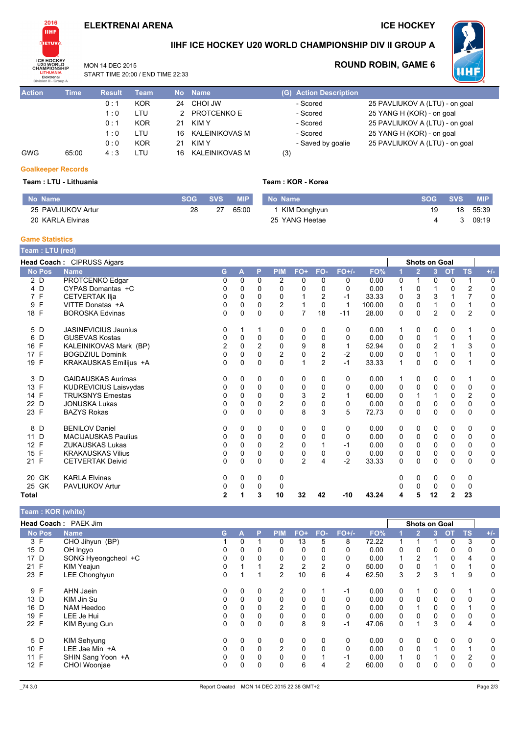### **ELEKTRENAI ARENA**

### **ICE HOCKEY**

**ROUND ROBIN, GAME 6** 



## IIHF ICE HOCKEY U20 WORLD CHAMPIONSHIP DIV II GROUP A

MON 14 DFC 2015 START TIME 20:00 / END TIME 22:33

| Division II - Group A |             |               |            |           |                       |  |
|-----------------------|-------------|---------------|------------|-----------|-----------------------|--|
| <b>Action</b>         | <b>Time</b> | <b>Result</b> | Team       | <b>No</b> | <b>Name</b>           |  |
|                       |             | 0:1           | KOR        | 24        | CHOI JW               |  |
|                       |             | 1:0           | LTU        |           | 2 PROTCENKO E         |  |
|                       |             | 0:1           | <b>KOR</b> | 21        | KIM Y                 |  |
|                       |             | 1:0           | LTU        |           | 16 KALEINIKOVAS M     |  |
|                       |             | 0:0           | <b>KOR</b> | 21        | <b>KIMY</b>           |  |
| GWG                   | 65:00       | 4:3           | LTU        | 16        | <b>KALEINIKOVAS M</b> |  |
|                       |             |               |            |           |                       |  |

### (G) Action Description - Scored - Scored - Scored - Scored - Saved by goalie

| 25 PAVLIUKOV A (LTU) - on goal |
|--------------------------------|
| 25 YANG H (KOR) - on goal      |
| 25 PAVLIUKOV A (LTU) - on goal |
| 25 YANG H (KOR) - on goal      |
| 25 PAVLIUKOV A (LTU) - on goal |
|                                |

WHF

### **Goalkeeper Records**

#### Team : LTU - Lithuania

| No Name            | <b>SOG</b> | <b>SVS</b> | <b>MIP</b> |
|--------------------|------------|------------|------------|
| 25 PAVLIUKOV Artur | 28         | -27        | 65.00      |
| 20 KARLA Elvinas   |            |            |            |

### Team: KOR - Korea

 $(3)$ 

| No Name        | SOG SVS | <b>MIP</b> |
|----------------|---------|------------|
| 1 KIM Donghyun | 19      | 18 55:39   |
| 25 YANG Heetae | 4       | 309.19     |

#### **Game Statistics**

| Team : LTU (red)   |                              |                |              |          |                |                |                |             |        |   |                |                      |                |                |             |
|--------------------|------------------------------|----------------|--------------|----------|----------------|----------------|----------------|-------------|--------|---|----------------|----------------------|----------------|----------------|-------------|
|                    | Head Coach: CIPRUSS Aigars   |                |              |          |                |                |                |             |        |   |                | <b>Shots on Goal</b> |                |                |             |
| <b>No Pos</b>      | <b>Name</b>                  | G              | A            | P        | <b>PIM</b>     | FO+            | FO-            | $FO+/-$     | FO%    |   | $\overline{2}$ | $\overline{3}$       | <b>OT</b>      | <b>TS</b>      | $+/-$       |
| 2 D                | PROTCENKO Edgar              | 0              | $\mathbf{0}$ | 0        | 2              | 0              | 0              | 0           | 0.00   | 0 | 1              | 0                    | 0              | 1              | 0           |
| 4 D                | CYPAS Domantas +C            | 0              | 0            | 0        | 0              | $\Omega$       | 0              | 0           | 0.00   | 1 | 0              |                      | 0              | $\overline{c}$ | 0           |
| $\mathsf{F}$<br>7  | <b>CETVERTAK IIja</b>        | 0              | $\Omega$     | 0        | 0              |                | 2              | $-1$        | 33.33  | 0 | 3              | 3                    |                |                | 0           |
| F<br>9             | VITTE Donatas +A             | 0              | 0            | 0        | $\overline{c}$ |                | 0              | $\mathbf 1$ | 100.00 | 0 | 0              |                      | 0              |                | 0           |
| 18 F               | <b>BOROSKA Edvinas</b>       | 0              | $\Omega$     | $\Omega$ | $\Omega$       | $\overline{7}$ | 18             | $-11$       | 28.00  | 0 | $\Omega$       | $\overline{2}$       | $\Omega$       | $\overline{2}$ | $\mathbf 0$ |
| D<br>5             | <b>JASINEVICIUS Jaunius</b>  | 0              |              |          | 0              | 0              | 0              | 0           | 0.00   | 1 | 0              | 0                    | 0              |                | 0           |
| D<br>6             | <b>GUSEVAS Kostas</b>        | 0              | 0            | 0        | 0              | 0              | 0              | 0           | 0.00   | 0 | 0              | 1                    | 0              |                | 0           |
| F<br>16            | KALEINIKOVAS Mark (BP)       | 2              | 0            | 2        | 0              | 9              | 8              | 1           | 52.94  | 0 | 0              | $\overline{c}$       |                | 3              | 0           |
| $\mathsf{F}$<br>17 | <b>BOGDZIUL Dominik</b>      | 0              | 0            | 0        | $\overline{2}$ | $\pmb{0}$      | $\overline{2}$ | $-2$        | 0.00   | 0 | $\Omega$       | 1                    | 0              |                | $\pmb{0}$   |
| F<br>19            | KRAKAUSKAS Emilijus +A       | 0              | 0            | 0        | $\Omega$       | 1              | $\overline{2}$ | $-1$        | 33.33  | 1 | 0              | 0                    | $\mathbf 0$    |                | 0           |
| 3<br>D             | <b>GAIDAUSKAS Aurimas</b>    | 0              | 0            | 0        | 0              | 0              | 0              | 0           | 0.00   | 1 | 0              | 0                    | 0              | 1              | 0           |
| 13 F               | <b>KUDREVICIUS Laisvydas</b> | 0              | 0            | 0        | 0              | 0              | 0              | 0           | 0.00   | 0 | 0              | 0                    | 0              | 0              | 0           |
| $\mathsf{F}$<br>14 | <b>TRUKSNYS Ernestas</b>     | 0              | 0            | 0        | 0              | 3              | 2              | 1           | 60.00  | 0 |                |                      | 0              | 2              | 0           |
| D<br>22            | <b>JONUSKA Lukas</b>         | 0              | 0            | 0        | 2              | $\mathbf 0$    | 0              | $\Omega$    | 0.00   | 0 | $\Omega$       | 0                    | 0              | $\Omega$       | 0           |
| 23 F               | <b>BAZYS Rokas</b>           | 0              | $\Omega$     | $\Omega$ | $\Omega$       | 8              | 3              | 5           | 72.73  | 0 | $\Omega$       | $\Omega$             | $\Omega$       | 0              | $\mathbf 0$ |
| 8<br>D             | <b>BENILOV Daniel</b>        | 0              | 0            | 0        | 0              | 0              | 0              | 0           | 0.00   | 0 | 0              | 0                    | 0              | 0              | 0           |
| D<br>11            | <b>MACIJAUSKAS Paulius</b>   | 0              | 0            | 0        | 0              | 0              | 0              | $\Omega$    | 0.00   | 0 | 0              | 0                    | 0              | 0              | 0           |
| F<br>12            | <b>ZUKAUSKAS Lukas</b>       | 0              | 0            | 0        | 2              | 0              |                | -1          | 0.00   | 0 | 0              | $\Omega$             | 0              | 0              | 0           |
| F<br>15            | <b>KRAKAUSKAS Vilius</b>     | 0              | 0            | 0        | 0              | $\mathbf 0$    | 0              | 0           | 0.00   | 0 | 0              | 0                    | 0              | 0              | 0           |
| F<br>21            | <b>CETVERTAK Deivid</b>      | 0              | 0            | 0        | $\Omega$       | $\overline{2}$ | 4              | $-2$        | 33.33  | 0 | 0              | 0                    | 0              | $\Omega$       | $\Omega$    |
| GK<br>20           | <b>KARLA Elvinas</b>         | 0              | 0            | 0        | 0              |                |                |             |        | 0 | 0              | 0                    | 0              | 0              |             |
| 25 GK              | <b>PAVLIUKOV Artur</b>       | 0              | 0            | 0        | 0              |                |                |             |        | ი | 0              | 0                    | 0              | 0              |             |
| Total              |                              | $\overline{2}$ |              | 3        | 10             | 32             | 42             | $-10$       | 43.24  | 4 | 5              | 12                   | $\overline{2}$ | 23             |             |

#### Team : KOR (white)

|               | Head Coach: PAEK Jim |    |          |          |                |     |     |                |       |   | <b>Shots on Goal</b> |   |           |           |       |
|---------------|----------------------|----|----------|----------|----------------|-----|-----|----------------|-------|---|----------------------|---|-----------|-----------|-------|
| <b>No Pos</b> | <b>Name</b>          | G. | А        | P        | <b>PIM</b>     | FO+ | FO- | $FO+/-$        | FO%   |   |                      |   | <b>OT</b> | <b>TS</b> | $+/-$ |
| 3 F           | CHO Jihyun (BP)      |    | 0        |          | 0              | 13  | 5   | 8              | 72.22 |   |                      |   | 0         | 3         | 0     |
| 15 D          | OH Ingyo             |    | 0        | 0        |                | 0   | 0   | 0              | 0.00  | 0 | 0                    | 0 | 0         | 0         | 0     |
| 17 D          | SONG Hyeongcheol +C  | 0  | 0        |          |                | 0   | 0   | 0              | 0.00  |   | 2                    |   | 0         | 4         | 0     |
| 21 F          | KIM Yeajun           | 0  |          |          | 2              | 2   | 2   | 0              | 50.00 | 0 | 0                    |   | 0         |           | 0     |
| 23 F          | LEE Chonghyun        | 0  |          |          | $\overline{2}$ | 10  | 6   | 4              | 62.50 | 3 | 2                    | 3 |           | 9         | 0     |
| 9 F           | AHN Jaein            | 0  | 0        | 0        | $\overline{2}$ | 0   |     | $-1$           | 0.00  | 0 |                      | 0 | $\Omega$  |           | 0     |
| 13 D          | KIM Jin Su           | 0  | 0        | 0        | 0              | 0   | 0   | 0              | 0.00  | 0 | 0                    | 0 | 0         | 0         | 0     |
| 16 D          | NAM Heedoo           | 0  | $\Omega$ | 0        | $\overline{2}$ | 0   | 0   | $\Omega$       | 0.00  | 0 |                      | 0 | 0         |           | 0     |
| F<br>19       | LEE Je Hui           | 0  | $\Omega$ | $\Omega$ | 0              | 0   | 0   | 0              | 0.00  | 0 | 0                    | 0 | 0         | 0         | 0     |
| 22 F          | KIM Byung Gun        | 0  | 0        | $\Omega$ | 0              | 8   | 9   | $-1$           | 47.06 | 0 |                      | 3 | 0         | 4         | 0     |
| 5 D           | KIM Sehyung          | 0  | 0        | 0        | 0              | 0   | 0   | 0              | 0.00  | 0 | 0                    | 0 | 0         | 0         | 0     |
| 10 F          | LEE Jae Min +A       | 0  | $\Omega$ | $\Omega$ | 2              | 0   | 0   | $\mathbf 0$    | 0.00  | 0 | 0                    | ٠ | 0         |           | 0     |
| 11 F          | SHIN Sang Yoon +A    | 0  | 0        | 0        | 0              | 0   |     | $-1$           | 0.00  |   | 0                    |   | 0         | 2         | 0     |
| 12 F          | CHOI Woonjae         | 0  | 0        | 0        | 0              | 6   | 4   | $\overline{2}$ | 60.00 | 0 | 0                    | 0 | 0         | 0         | 0     |